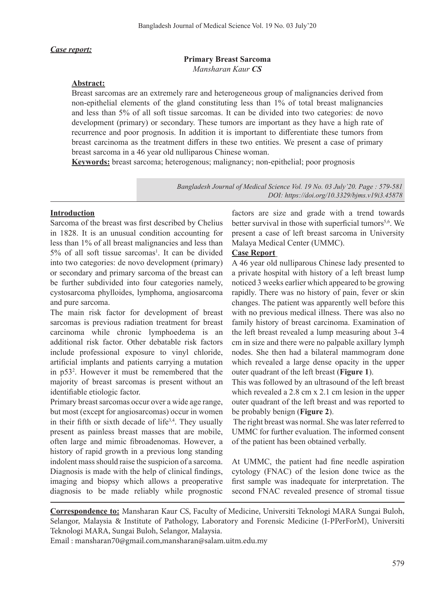#### *Case report:*

#### **Primary Breast Sarcoma** *Mansharan Kaur CS*

#### **Abstract:**

Breast sarcomas are an extremely rare and heterogeneous group of malignancies derived from non-epithelial elements of the gland constituting less than 1% of total breast malignancies and less than 5% of all soft tissue sarcomas. It can be divided into two categories: de novo development (primary) or secondary. These tumors are important as they have a high rate of recurrence and poor prognosis. In addition it is important to differentiate these tumors from breast carcinoma as the treatment differs in these two entities. We present a case of primary breast sarcoma in a 46 year old nulliparous Chinese woman.

**Keywords:** breast sarcoma; heterogenous; malignancy; non-epithelial; poor prognosis

*Bangladesh Journal of Medical Science Vol. 19 No. 03 July'20. Page : 579-581 DOI: https://doi.org/10.3329/bjms.v19i3.45878*

#### **Introduction**

Sarcoma of the breast was first described by Chelius in 1828. It is an unusual condition accounting for less than 1% of all breast malignancies and less than 5% of all soft tissue sarcomas<sup>1</sup>. It can be divided into two categories: de novo development (primary) or secondary and primary sarcoma of the breast can be further subdivided into four categories namely, cystosarcoma phylloides, lymphoma, angiosarcoma and pure sarcoma.

The main risk factor for development of breast sarcomas is previous radiation treatment for breast carcinoma while chronic lymphoedema is an additional risk factor. Other debatable risk factors include professional exposure to vinyl chloride, artificial implants and patients carrying a mutation in p53<sup>2</sup> . However it must be remembered that the majority of breast sarcomas is present without an identifiable etiologic factor.

Primary breast sarcomas occur over a wide age range, but most (except for angiosarcomas) occur in women in their fifth or sixth decade of life<sup>3,4</sup>. They usually present as painless breast masses that are mobile, often large and mimic fibroadenomas. However, a history of rapid growth in a previous long standing indolent mass should raise the suspicion of a sarcoma. Diagnosis is made with the help of clinical findings, imaging and biopsy which allows a preoperative diagnosis to be made reliably while prognostic

factors are size and grade with a trend towards better survival in those with superficial tumors<sup>5,6</sup>. We present a case of left breast sarcoma in University Malaya Medical Center (UMMC).

#### **Case Report**

A 46 year old nulliparous Chinese lady presented to a private hospital with history of a left breast lump noticed 3 weeks earlier which appeared to be growing rapidly. There was no history of pain, fever or skin changes. The patient was apparently well before this with no previous medical illness. There was also no family history of breast carcinoma. Examination of the left breast revealed a lump measuring about 3-4 cm in size and there were no palpable axillary lymph nodes. She then had a bilateral mammogram done which revealed a large dense opacity in the upper outer quadrant of the left breast (**Figure 1**).

This was followed by an ultrasound of the left breast which revealed a 2.8 cm x 2.1 cm lesion in the upper outer quadrant of the left breast and was reported to be probably benign (**Figure 2**).

The right breast was normal. She was later referred to UMMC for further evaluation. The informed consent of the patient has been obtained verbally.

At UMMC, the patient had fine needle aspiration cytology (FNAC) of the lesion done twice as the first sample was inadequate for interpretation. The second FNAC revealed presence of stromal tissue

**Correspondence to:** Mansharan Kaur CS, Faculty of Medicine, Universiti Teknologi MARA Sungai Buloh, Selangor, Malaysia & Institute of Pathology, Laboratory and Forensic Medicine (I-PPerForM), Universiti Teknologi MARA, Sungai Buloh, Selangor, Malaysia.

Email : mansharan70@gmail.com,mansharan@salam.uitm.edu.my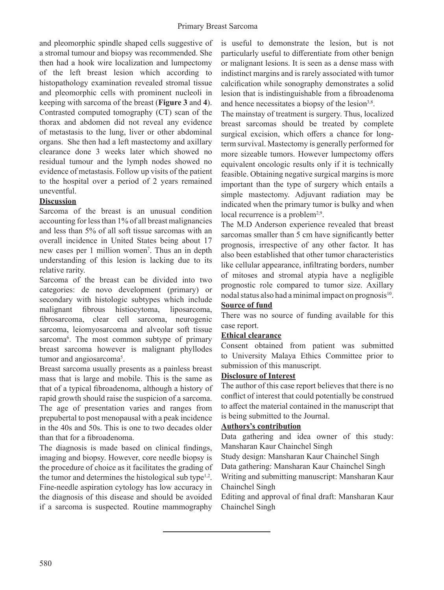and pleomorphic spindle shaped cells suggestive of a stromal tumour and biopsy was recommended. She then had a hook wire localization and lumpectomy of the left breast lesion which according to histopathology examination revealed stromal tissue and pleomorphic cells with prominent nucleoli in keeping with sarcoma of the breast (**Figure 3** and **4**). Contrasted computed tomography (CT) scan of the thorax and abdomen did not reveal any evidence of metastasis to the lung, liver or other abdominal organs. She then had a left mastectomy and axillary clearance done 3 weeks later which showed no residual tumour and the lymph nodes showed no evidence of metastasis. Follow up visits of the patient to the hospital over a period of 2 years remained uneventful.

## **Discussion**

Sarcoma of the breast is an unusual condition accounting for less than 1% of all breast malignancies and less than 5% of all soft tissue sarcomas with an overall incidence in United States being about 17 new cases per 1 million women<sup>7</sup>. Thus an in depth understanding of this lesion is lacking due to its relative rarity.

Sarcoma of the breast can be divided into two categories: de novo development (primary) or secondary with histologic subtypes which include malignant fibrous histiocytoma, liposarcoma, fibrosarcoma, clear cell sarcoma, neurogenic sarcoma, leiomyosarcoma and alveolar soft tissue sarcoma<sup>6</sup>. The most common subtype of primary breast sarcoma however is malignant phyllodes tumor and angiosarcoma<sup>5</sup>.

Breast sarcoma usually presents as a painless breast mass that is large and mobile. This is the same as that of a typical fibroadenoma, although a history of rapid growth should raise the suspicion of a sarcoma. The age of presentation varies and ranges from prepubertal to post menopausal with a peak incidence in the 40s and 50s. This is one to two decades older than that for a fibroadenoma.

The diagnosis is made based on clinical findings, imaging and biopsy. However, core needle biopsy is the procedure of choice as it facilitates the grading of the tumor and determines the histological sub type $1,2$ . Fine-needle aspiration cytology has low accuracy in the diagnosis of this disease and should be avoided if a sarcoma is suspected. Routine mammography

is useful to demonstrate the lesion, but is not particularly useful to differentiate from other benign or malignant lesions. It is seen as a dense mass with indistinct margins and is rarely associated with tumor calcification while sonography demonstrates a solid lesion that is indistinguishable from a fibroadenoma and hence necessitates a biopsy of the lesion<sup>3,8</sup>.

The mainstay of treatment is surgery. Thus, localized breast sarcomas should be treated by complete surgical excision, which offers a chance for longterm survival. Mastectomy is generally performed for more sizeable tumors. However lumpectomy offers equivalent oncologic results only if it is technically feasible. Obtaining negative surgical margins is more important than the type of surgery which entails a simple mastectomy. Adjuvant radiation may be indicated when the primary tumor is bulky and when local recurrence is a problem<sup>2,9</sup>.

The M.D Anderson experience revealed that breast sarcomas smaller than 5 cm have significantly better prognosis, irrespective of any other factor. It has also been established that other tumor characteristics like cellular appearance, infiltrating borders, number of mitoses and stromal atypia have a negligible prognostic role compared to tumor size. Axillary nodal status also had a minimal impact on prognosis<sup>10</sup>.

## **Source of fund**

There was no source of funding available for this case report.

## **Ethical clearance**

Consent obtained from patient was submitted to University Malaya Ethics Committee prior to submission of this manuscript.

### **Disclosure of Interest**

The author of this case report believes that there is no conflict of interest that could potentially be construed to affect the material contained in the manuscript that is being submitted to the Journal.

## **Authors's contribution**

Data gathering and idea owner of this study: Mansharan Kaur Chainchel Singh

Study design: Mansharan Kaur Chainchel Singh

Data gathering: Mansharan Kaur Chainchel Singh

Writing and submitting manuscript: Mansharan Kaur Chainchel Singh

Editing and approval of final draft: Mansharan Kaur Chainchel Singh